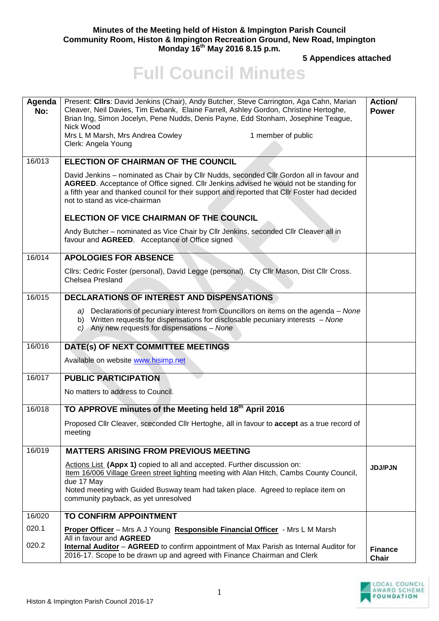## **Minutes of the Meeting held of Histon & Impington Parish Council Community Room, Histon & Impington Recreation Ground, New Road, Impington Monday 16 th May 2016 8.15 p.m.**

**5 Appendices attached** 

## **Full Council Minutes**

| Agenda<br>No: | Present: Clirs: David Jenkins (Chair), Andy Butcher, Steve Carrington, Aga Cahn, Marian<br>Cleaver, Neil Davies, Tim Ewbank, Elaine Farrell, Ashley Gordon, Christine Hertoghe,<br>Brian Ing, Simon Jocelyn, Pene Nudds, Denis Payne, Edd Stonham, Josephine Teague,<br>Nick Wood<br>Mrs L M Marsh, Mrs Andrea Cowley<br>1 member of public<br>Clerk: Angela Young | Action/<br><b>Power</b>        |
|---------------|--------------------------------------------------------------------------------------------------------------------------------------------------------------------------------------------------------------------------------------------------------------------------------------------------------------------------------------------------------------------|--------------------------------|
| 16/013        | ELECTION OF CHAIRMAN OF THE COUNCIL                                                                                                                                                                                                                                                                                                                                |                                |
|               | David Jenkins - nominated as Chair by Cllr Nudds, seconded Cllr Gordon all in favour and<br>AGREED. Acceptance of Office signed. Cllr Jenkins advised he would not be standing for<br>a fifth year and thanked council for their support and reported that Cllr Foster had decided<br>not to stand as vice-chairman                                                |                                |
|               | ELECTION OF VICE CHAIRMAN OF THE COUNCIL                                                                                                                                                                                                                                                                                                                           |                                |
|               | Andy Butcher - nominated as Vice Chair by Cllr Jenkins, seconded Cllr Cleaver all in<br>favour and AGREED. Acceptance of Office signed                                                                                                                                                                                                                             |                                |
| 16/014        | <b>APOLOGIES FOR ABSENCE</b>                                                                                                                                                                                                                                                                                                                                       |                                |
|               | Cllrs: Cedric Foster (personal), David Legge (personal). Cty Cllr Mason, Dist Cllr Cross.<br><b>Chelsea Presland</b>                                                                                                                                                                                                                                               |                                |
| 16/015        | <b>DECLARATIONS OF INTEREST AND DISPENSATIONS</b>                                                                                                                                                                                                                                                                                                                  |                                |
|               | a) Declarations of pecuniary interest from Councillors on items on the agenda – None<br>b) Written requests for dispensations for disclosable pecuniary interests - None<br>$c$ ) Any new requests for dispensations - None                                                                                                                                        |                                |
| 16/016        | DATE(s) OF NEXT COMMITTEE MEETINGS                                                                                                                                                                                                                                                                                                                                 |                                |
|               | Available on website www.hisimp.net                                                                                                                                                                                                                                                                                                                                |                                |
| 16/017        | <b>PUBLIC PARTICIPATION</b>                                                                                                                                                                                                                                                                                                                                        |                                |
|               | No matters to address to Council.                                                                                                                                                                                                                                                                                                                                  |                                |
| 16/018        | TO APPROVE minutes of the Meeting held 18th April 2016                                                                                                                                                                                                                                                                                                             |                                |
|               | Proposed Cllr Cleaver, sceconded Cllr Hertoghe, all in favour to accept as a true record of<br>meeting                                                                                                                                                                                                                                                             |                                |
| 16/019        | <b>MATTERS ARISING FROM PREVIOUS MEETING</b>                                                                                                                                                                                                                                                                                                                       |                                |
|               | Actions List (Appx 1) copied to all and accepted. Further discussion on:<br>Item 16/006 Village Green street lighting meeting with Alan Hitch, Cambs County Council,<br>due 17 May<br>Noted meeting with Guided Busway team had taken place. Agreed to replace item on<br>community payback, as yet unresolved                                                     | <b>JDJ/PJN</b>                 |
| 16/020        | <b>TO CONFIRM APPOINTMENT</b>                                                                                                                                                                                                                                                                                                                                      |                                |
| 020.1         | Proper Officer - Mrs A J Young Responsible Financial Officer - Mrs L M Marsh                                                                                                                                                                                                                                                                                       |                                |
| 020.2         | All in favour and AGREED<br><b>Internal Auditor</b> - AGREED to confirm appointment of Max Parish as Internal Auditor for<br>2016-17. Scope to be drawn up and agreed with Finance Chairman and Clerk                                                                                                                                                              | <b>Finance</b><br><b>Chair</b> |

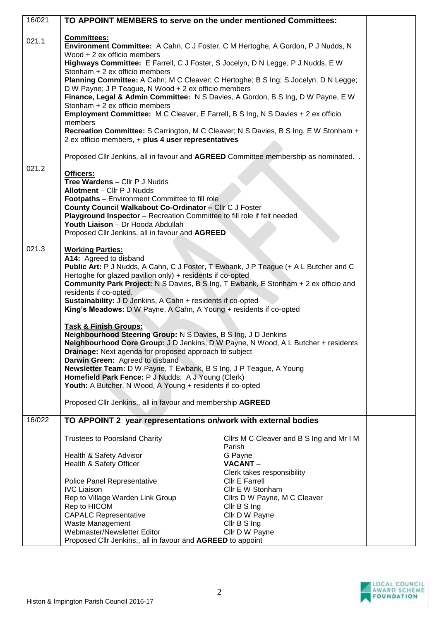| 16/021 | TO APPOINT MEMBERS to serve on the under mentioned Committees:                                                           |                                          |  |  |  |
|--------|--------------------------------------------------------------------------------------------------------------------------|------------------------------------------|--|--|--|
|        |                                                                                                                          |                                          |  |  |  |
| 021.1  | Committees:                                                                                                              |                                          |  |  |  |
|        | Environment Committee: A Cahn, C J Foster, C M Hertoghe, A Gordon, P J Nudds, N<br>Wood + 2 ex officio members           |                                          |  |  |  |
|        | Highways Committee: E Farrell, C J Foster, S Jocelyn, D N Legge, P J Nudds, E W                                          |                                          |  |  |  |
|        | Stonham + 2 ex officio members                                                                                           |                                          |  |  |  |
|        | Planning Committee: A Cahn; M C Cleaver; C Hertoghe; B S Ing; S Jocelyn, D N Legge;                                      |                                          |  |  |  |
|        | D W Payne; J P Teague, N Wood + 2 ex officio members                                                                     |                                          |  |  |  |
|        | Finance, Legal & Admin Committee: N S Davies, A Gordon, B S Ing, D W Payne, E W<br>Stonham + 2 ex officio members        |                                          |  |  |  |
|        | <b>Employment Committee:</b> M C Cleaver, E Farrell, B S Ing, N S Davies + 2 ex officio                                  |                                          |  |  |  |
|        | members                                                                                                                  |                                          |  |  |  |
|        | Recreation Committee: S Carrington, M C Cleaver; N S Davies, B S Ing, E W Stonham +                                      |                                          |  |  |  |
|        | 2 ex officio members, + plus 4 user representatives                                                                      |                                          |  |  |  |
|        | Proposed Cllr Jenkins, all in favour and AGREED Committee membership as nominated. .                                     |                                          |  |  |  |
| 021.2  |                                                                                                                          |                                          |  |  |  |
|        | Officers:                                                                                                                |                                          |  |  |  |
|        | Tree Wardens - Cllr P J Nudds<br>Allotment - Cllr P J Nudds                                                              |                                          |  |  |  |
|        | <b>Footpaths</b> – Environment Committee to fill role                                                                    |                                          |  |  |  |
|        | County Council Walkabout Co-Ordinator - Cllr C J Foster                                                                  |                                          |  |  |  |
|        | Playground Inspector - Recreation Committee to fill role if felt needed                                                  |                                          |  |  |  |
|        | Youth Liaison - Dr Hooda Abdullah                                                                                        |                                          |  |  |  |
|        | Proposed Cllr Jenkins, all in favour and AGREED                                                                          |                                          |  |  |  |
| 021.3  | <b>Working Parties:</b>                                                                                                  |                                          |  |  |  |
|        | A14: Agreed to disband                                                                                                   |                                          |  |  |  |
|        | Public Art: P J Nudds, A Cahn, C J Foster, T Ewbank, J P Teague (+ A L Butcher and C                                     |                                          |  |  |  |
|        | Hertoghe for glazed pavilion only) + residents if co-opted                                                               |                                          |  |  |  |
|        | <b>Community Park Project:</b> N S Davies, B S Ing, T Ewbank, E Stonham + 2 ex officio and<br>residents if co-opted.     |                                          |  |  |  |
|        | Sustainability: J D Jenkins, A Cahn + residents if co-opted                                                              |                                          |  |  |  |
|        | King's Meadows: D W Payne, A Cahn, A Young + residents if co-opted                                                       |                                          |  |  |  |
|        |                                                                                                                          |                                          |  |  |  |
|        | <b>Task &amp; Finish Groups:</b><br>Neighbourhood Steering Group: N S Davies, B S Ing, J D Jenkins                       |                                          |  |  |  |
|        | Neighbourhood Core Group: J D Jenkins, D W Payne, N Wood, A L Butcher + residents                                        |                                          |  |  |  |
|        | Drainage: Next agenda for proposed approach to subject                                                                   |                                          |  |  |  |
|        | Darwin Green: Agreed to disband                                                                                          |                                          |  |  |  |
|        | Newsletter Team: D W Payne, T Ewbank, B S Ing, J P Teague, A Young<br>Homefield Park Fence: P J Nudds; A J Young (Clerk) |                                          |  |  |  |
|        | Youth: A Butcher, N Wood, A Young + residents if co-opted                                                                |                                          |  |  |  |
|        |                                                                                                                          |                                          |  |  |  |
|        | Proposed Cllr Jenkins,, all in favour and membership AGREED                                                              |                                          |  |  |  |
| 16/022 | TO APPOINT 2 year representations on/work with external bodies                                                           |                                          |  |  |  |
|        |                                                                                                                          |                                          |  |  |  |
|        | <b>Trustees to Poorsland Charity</b>                                                                                     | Clirs M C Cleaver and B S Ing and Mr I M |  |  |  |
|        |                                                                                                                          | Parish                                   |  |  |  |
|        | Health & Safety Advisor                                                                                                  | G Payne                                  |  |  |  |
|        | Health & Safety Officer                                                                                                  | VACANT-<br>Clerk takes responsibility    |  |  |  |
|        | Police Panel Representative                                                                                              | <b>Cllr E Farrell</b>                    |  |  |  |
|        | <b>IVC Liaison</b>                                                                                                       | Cllr E W Stonham                         |  |  |  |
|        | Rep to Village Warden Link Group                                                                                         | Cllrs D W Payne, M C Cleaver             |  |  |  |
|        | Rep to HICOM                                                                                                             | Cllr B S Ing                             |  |  |  |
|        | <b>CAPALC Representative</b><br>Waste Management                                                                         | Cllr D W Payne<br>Cllr B S Ing           |  |  |  |
|        | Webmaster/Newsletter Editor                                                                                              | Cllr D W Payne                           |  |  |  |
|        | Proposed Cllr Jenkins,, all in favour and AGREED to appoint                                                              |                                          |  |  |  |

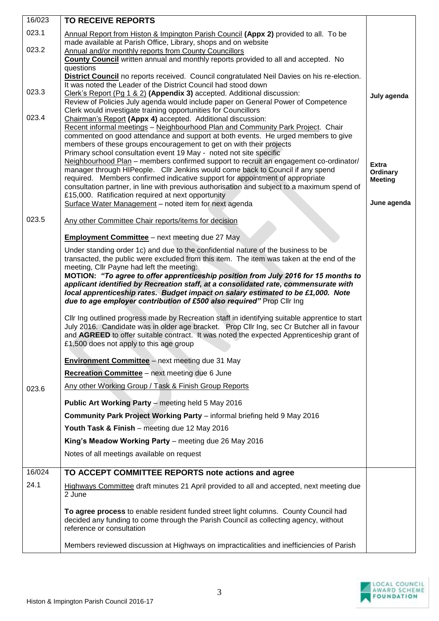| 16/023 | <b>TO RECEIVE REPORTS</b>                                                                                                                                                    |                          |
|--------|------------------------------------------------------------------------------------------------------------------------------------------------------------------------------|--------------------------|
| 023.1  | Annual Report from Histon & Impington Parish Council (Appx 2) provided to all. To be                                                                                         |                          |
| 023.2  | made available at Parish Office, Library, shops and on website<br>Annual and/or monthly reports from County Councillors                                                      |                          |
|        | County Council written annual and monthly reports provided to all and accepted. No                                                                                           |                          |
|        | questions                                                                                                                                                                    |                          |
|        | <b>District Council</b> no reports received. Council congratulated Neil Davies on his re-election.<br>It was noted the Leader of the District Council had stood down         |                          |
| 023.3  | Clerk's Report (Pg 1 & 2) (Appendix 3) accepted. Additional discussion:                                                                                                      | July agenda              |
|        | Review of Policies July agenda would include paper on General Power of Competence<br>Clerk would investigate training opportunities for Councillors                          |                          |
| 023.4  | Chairman's Report (Appx 4) accepted. Additional discussion:                                                                                                                  |                          |
|        | Recent informal meetings - Neighbourhood Plan and Community Park Project. Chair<br>commented on good attendance and support at both events. He urged members to give         |                          |
|        | members of these groups encouragement to get on with their projects                                                                                                          |                          |
|        | Primary school consultation event 19 May - noted not site specific<br>Neighbourhood Plan - members confirmed support to recruit an engagement co-ordinator/                  |                          |
|        | manager through HIPeople. Cllr Jenkins would come back to Council if any spend                                                                                               | <b>Extra</b><br>Ordinary |
|        | required. Members confirmed indicative support for appointment of appropriate<br>consultation partner, in line with previous authorisation and subject to a maximum spend of | <b>Meeting</b>           |
|        | £15,000. Ratification required at next opportunity                                                                                                                           |                          |
|        | Surface Water Management - noted item for next agenda                                                                                                                        | June agenda              |
| 023.5  | Any other Committee Chair reports/items for decision                                                                                                                         |                          |
|        | <b>Employment Committee</b> – next meeting due 27 May                                                                                                                        |                          |
|        | Under standing order 1c) and due to the confidential nature of the business to be                                                                                            |                          |
|        | transacted, the public were excluded from this item. The item was taken at the end of the<br>meeting, Cllr Payne had left the meeting:                                       |                          |
|        | MOTION: "To agree to offer apprenticeship position from July 2016 for 15 months to                                                                                           |                          |
|        | applicant identified by Recreation staff, at a consolidated rate, commensurate with<br>local apprenticeship rates. Budget impact on salary estimated to be £1,000. Note      |                          |
|        | due to age employer contribution of £500 also required" Prop Cllr Ing                                                                                                        |                          |
|        | CIIr Ing outlined progress made by Recreation staff in identifying suitable apprentice to start                                                                              |                          |
|        | July 2016. Candidate was in older age bracket. Prop Cllr Ing, sec Cr Butcher all in favour                                                                                   |                          |
|        | and AGREED to offer suitable contract. It was noted the expected Apprenticeship grant of<br>£1,500 does not apply to this age group                                          |                          |
|        | Environment Committee - next meeting due 31 May                                                                                                                              |                          |
|        | Recreation Committee - next meeting due 6 June                                                                                                                               |                          |
| 023.6  | Any other Working Group / Task & Finish Group Reports                                                                                                                        |                          |
|        | Public Art Working Party - meeting held 5 May 2016                                                                                                                           |                          |
|        | Community Park Project Working Party - informal briefing held 9 May 2016                                                                                                     |                          |
|        | Youth Task & Finish - meeting due 12 May 2016                                                                                                                                |                          |
|        | King's Meadow Working Party - meeting due 26 May 2016                                                                                                                        |                          |
|        | Notes of all meetings available on request                                                                                                                                   |                          |
| 16/024 | TO ACCEPT COMMITTEE REPORTS note actions and agree                                                                                                                           |                          |
| 24.1   | Highways Committee draft minutes 21 April provided to all and accepted, next meeting due                                                                                     |                          |
|        | 2 June                                                                                                                                                                       |                          |
|        | To agree process to enable resident funded street light columns. County Council had                                                                                          |                          |
|        | decided any funding to come through the Parish Council as collecting agency, without<br>reference or consultation                                                            |                          |
|        | Members reviewed discussion at Highways on impracticalities and inefficiencies of Parish                                                                                     |                          |